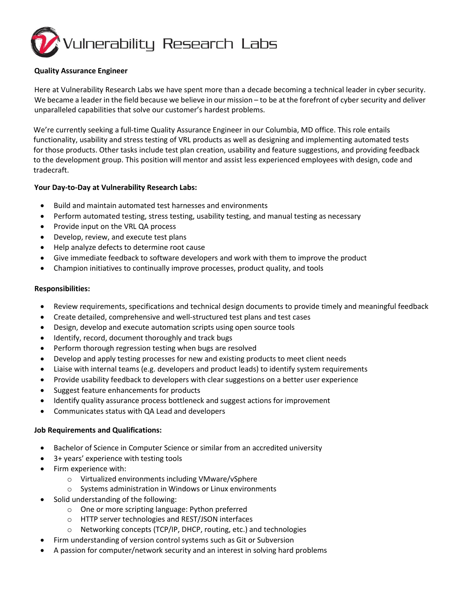

### **Quality Assurance Engineer**

Here at Vulnerability Research Labs we have spent more than a decade becoming a technical leader in cyber security. We became a leader in the field because we believe in our mission – to be at the forefront of cyber security and deliver unparalleled capabilities that solve our customer's hardest problems.

We're currently seeking a full-time Quality Assurance Engineer in our Columbia, MD office. This role entails functionality, usability and stress testing of VRL products as well as designing and implementing automated tests for those products. Other tasks include test plan creation, usability and feature suggestions, and providing feedback to the development group. This position will mentor and assist less experienced employees with design, code and tradecraft.

#### **Your Day-to-Day at Vulnerability Research Labs:**

- Build and maintain automated test harnesses and environments
- Perform automated testing, stress testing, usability testing, and manual testing as necessary
- Provide input on the VRL QA process
- Develop, review, and execute test plans
- Help analyze defects to determine root cause
- Give immediate feedback to software developers and work with them to improve the product
- Champion initiatives to continually improve processes, product quality, and tools

#### **Responsibilities:**

- Review requirements, specifications and technical design documents to provide timely and meaningful feedback
- Create detailed, comprehensive and well-structured test plans and test cases
- Design, develop and execute automation scripts using open source tools
- Identify, record, document thoroughly and track bugs
- Perform thorough regression testing when bugs are resolved
- Develop and apply testing processes for new and existing products to meet client needs
- Liaise with internal teams (e.g. developers and product leads) to identify system requirements
- Provide usability feedback to developers with clear suggestions on a better user experience
- Suggest feature enhancements for products
- Identify quality assurance process bottleneck and suggest actions for improvement
- Communicates status with QA Lead and developers

# **Job Requirements and Qualifications:**

- Bachelor of Science in Computer Science or similar from an accredited university
- 3+ years' experience with testing tools
- Firm experience with:
	- o Virtualized environments including VMware/vSphere
	- o Systems administration in Windows or Linux environments
- Solid understanding of the following:
	- o One or more scripting language: Python preferred
	- o HTTP server technologies and REST/JSON interfaces
	- o Networking concepts (TCP/IP, DHCP, routing, etc.) and technologies
- Firm understanding of version control systems such as Git or Subversion
- A passion for computer/network security and an interest in solving hard problems